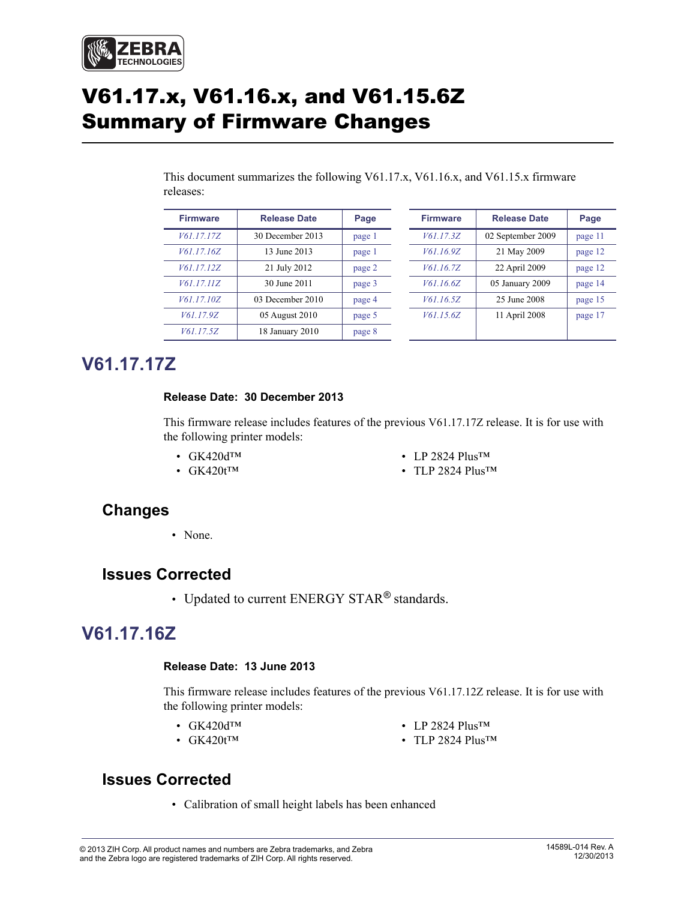

# V61.17.x, V61.16.x, and V61.15.6Z Summary of Firmware Changes

This document summarizes the following V61.17.x, V61.16.x, and V61.15.x firmware releases:

| <b>Firmware</b> | <b>Release Date</b> | Page   | <b>Firmware</b> | <b>Release Date</b> | Page    |
|-----------------|---------------------|--------|-----------------|---------------------|---------|
| V61.17.17Z      | 30 December 2013    | page 1 | V61.17.3Z       | 02 September 2009   | page 11 |
| V61.17.16Z      | 13 June 2013        | page 1 | V61.16.9Z       | 21 May 2009         | page 12 |
| V61.17.12Z      | 21 July 2012        | page 2 | V61.16.7Z       | 22 April 2009       | page 12 |
| V61.17.11Z      | 30 June 2011        | page 3 | V61.16.6Z       | 05 January 2009     | page 14 |
| V61.17.10Z      | 03 December 2010    | page 4 | V61.16.5Z       | 25 June 2008        | page 15 |
| V61.17.9Z       | 05 August 2010      | page 5 | V61.15.6Z       | 11 April 2008       | page 17 |
| V61.17.5Z       | 18 January 2010     | page 8 |                 |                     |         |

## <span id="page-0-2"></span>**V61.17.17Z**

#### <span id="page-0-3"></span>**Release Date: 30 December 2013**

This firmware release includes features of the previous V61.17.17Z release. It is for use with the following printer models:

• GK420dTM

• LP 2824 Plus<sup>TM</sup>

• GK420t<sup>TM</sup>

• TLP 2824 Plus<sup>TM</sup>

### **Changes**

• None

### **Issues Corrected**

• Updated to current ENERGY STAR*®* standards.

### <span id="page-0-0"></span>**V61.17.16Z**

#### <span id="page-0-1"></span>**Release Date: 13 June 2013**

This firmware release includes features of the previous V61.17.12Z release. It is for use with the following printer models:

• GK420dTM

• LP 2824 Plus<sup>TM</sup>

• GK420t<sup>TM</sup>

• TLP 2824 Plus™

### **Issues Corrected**

• Calibration of small height labels has been enhanced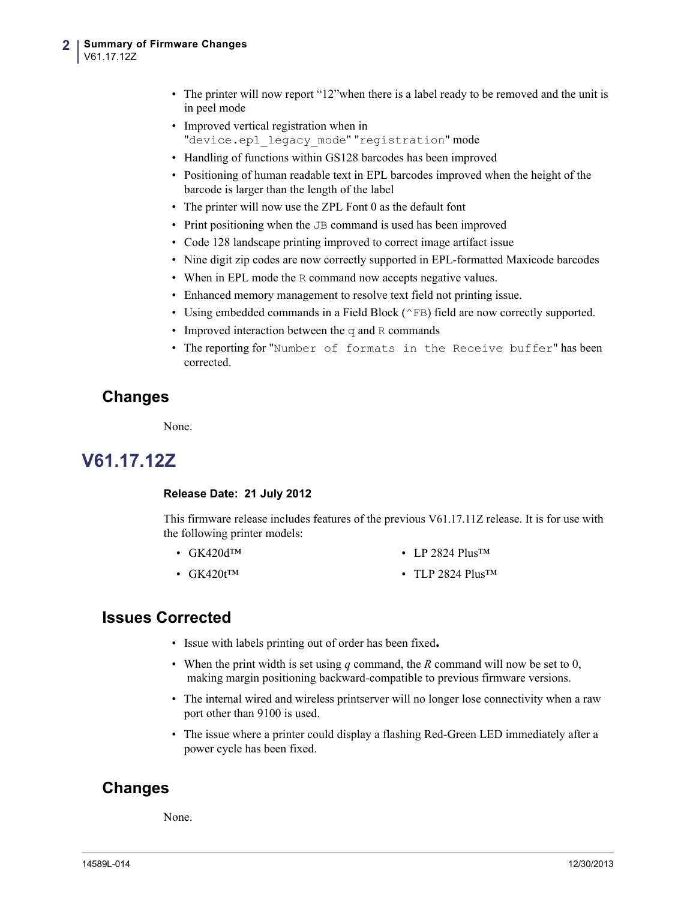- The printer will now report "12"when there is a label ready to be removed and the unit is in peel mode
- Improved vertical registration when in "device.epl legacy mode" "registration" mode
- Handling of functions within GS128 barcodes has been improved
- Positioning of human readable text in EPL barcodes improved when the height of the barcode is larger than the length of the label
- The printer will now use the ZPL Font 0 as the default font
- Print positioning when the JB command is used has been improved
- Code 128 landscape printing improved to correct image artifact issue
- Nine digit zip codes are now correctly supported in EPL-formatted Maxicode barcodes
- When in EPL mode the R command now accepts negative values.
- Enhanced memory management to resolve text field not printing issue.
- Using embedded commands in a Field Block ( $\wedge$ FB) field are now correctly supported.
- Improved interaction between the  $q$  and R commands
- The reporting for "Number of formats in the Receive buffer" has been corrected.

### **Changes**

None.

## <span id="page-1-0"></span>**V61.17.12Z**

#### <span id="page-1-1"></span>**Release Date: 21 July 2012**

This firmware release includes features of the previous V61.17.11Z release. It is for use with the following printer models:

- GK420d™ • LP 2824 Plus<sup>TM</sup>
- $GK420$ t<sup>™</sup> • TLP 2824 Plus<sup>TM</sup>

#### **Issues Corrected**

- Issue with labels printing out of order has been fixed**.**
- When the print width is set using *q* command, the *R* command will now be set to 0, making margin positioning backward-compatible to previous firmware versions.
- The internal wired and wireless printserver will no longer lose connectivity when a raw port other than 9100 is used.
- The issue where a printer could display a flashing Red-Green LED immediately after a power cycle has been fixed.

### **Changes**

None.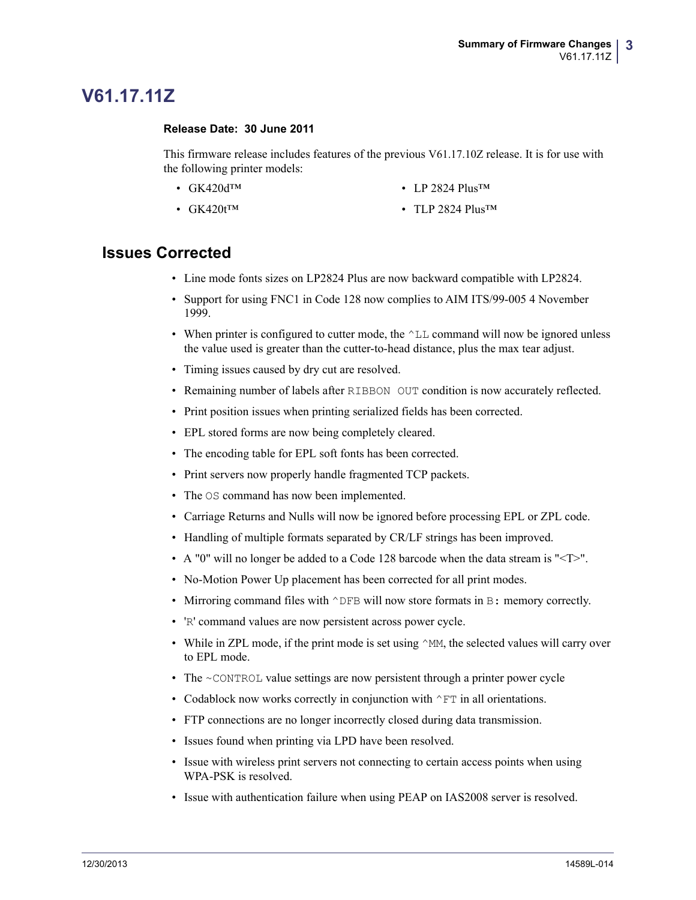## <span id="page-2-0"></span>**V61.17.11Z**

#### <span id="page-2-1"></span>**Release Date: 30 June 2011**

•  $GK420$ t<sup>™</sup>

This firmware release includes features of the previous V61.17.10Z release. It is for use with the following printer models:

- GK420dTM • LP 2824 Plus<sup>TM</sup>
	- TLP 2824 PlusTM

- Line mode fonts sizes on LP2824 Plus are now backward compatible with LP2824.
- Support for using FNC1 in Code 128 now complies to AIM ITS/99-005 4 November 1999.
- When printer is configured to cutter mode, the  $\Delta L$  command will now be ignored unless the value used is greater than the cutter-to-head distance, plus the max tear adjust.
- Timing issues caused by dry cut are resolved.
- Remaining number of labels after RIBBON OUT condition is now accurately reflected.
- Print position issues when printing serialized fields has been corrected.
- EPL stored forms are now being completely cleared.
- The encoding table for EPL soft fonts has been corrected.
- Print servers now properly handle fragmented TCP packets.
- The OS command has now been implemented.
- Carriage Returns and Nulls will now be ignored before processing EPL or ZPL code.
- Handling of multiple formats separated by CR/LF strings has been improved.
- A "0" will no longer be added to a Code 128 barcode when the data stream is " $\leq T$ ".
- No-Motion Power Up placement has been corrected for all print modes.
- Mirroring command files with  $\triangle$ DFB will now store formats in B: memory correctly.
- 'R' command values are now persistent across power cycle.
- While in ZPL mode, if the print mode is set using  $\gamma_M$ , the selected values will carry over to EPL mode.
- The  $\sim$ CONTROL value settings are now persistent through a printer power cycle
- Codablock now works correctly in conjunction with  $\wedge$ FT in all orientations.
- FTP connections are no longer incorrectly closed during data transmission.
- Issues found when printing via LPD have been resolved.
- Issue with wireless print servers not connecting to certain access points when using WPA-PSK is resolved.
- Issue with authentication failure when using PEAP on IAS2008 server is resolved.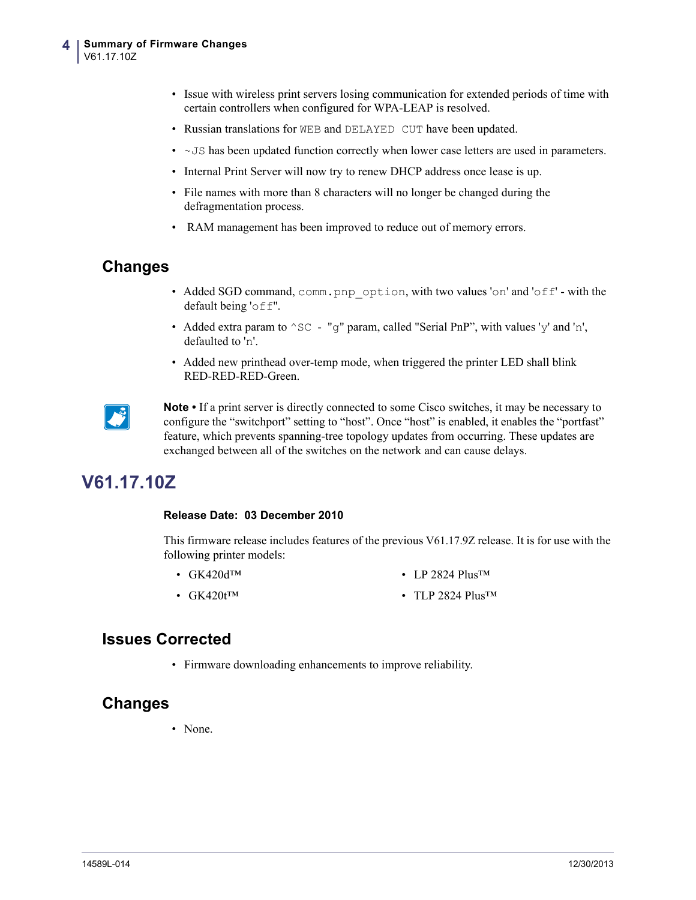- Issue with wireless print servers losing communication for extended periods of time with certain controllers when configured for WPA-LEAP is resolved.
- Russian translations for WEB and DELAYED CUT have been updated.
- $\sim$  JS has been updated function correctly when lower case letters are used in parameters.
- Internal Print Server will now try to renew DHCP address once lease is up.
- File names with more than 8 characters will no longer be changed during the defragmentation process.
- RAM management has been improved to reduce out of memory errors.

### **Changes**

- Added SGD command, comm.pnp\_option, with two values 'on' and 'off' with the default being 'off".
- Added extra param to  $\textdegree$  sc "q" param, called "Serial PnP", with values 'y' and 'n', defaulted to 'n'.
- Added new printhead over-temp mode, when triggered the printer LED shall blink RED-RED-RED-Green.



**Note** • If a print server is directly connected to some Cisco switches, it may be necessary to configure the "switchport" setting to "host". Once "host" is enabled, it enables the "portfast" feature, which prevents spanning-tree topology updates from occurring. These updates are exchanged between all of the switches on the network and can cause delays.

## <span id="page-3-0"></span>**V61.17.10Z**

#### <span id="page-3-1"></span>**Release Date: 03 December 2010**

This firmware release includes features of the previous V61.17.9Z release. It is for use with the following printer models:

- GK420dTM • LP 2824 Plus<sup>TM</sup>
- GK420t<sup>™</sup> • TLP 2824 Plus<sup>TM</sup>

### **Issues Corrected**

• Firmware downloading enhancements to improve reliability.

#### **Changes**

• None.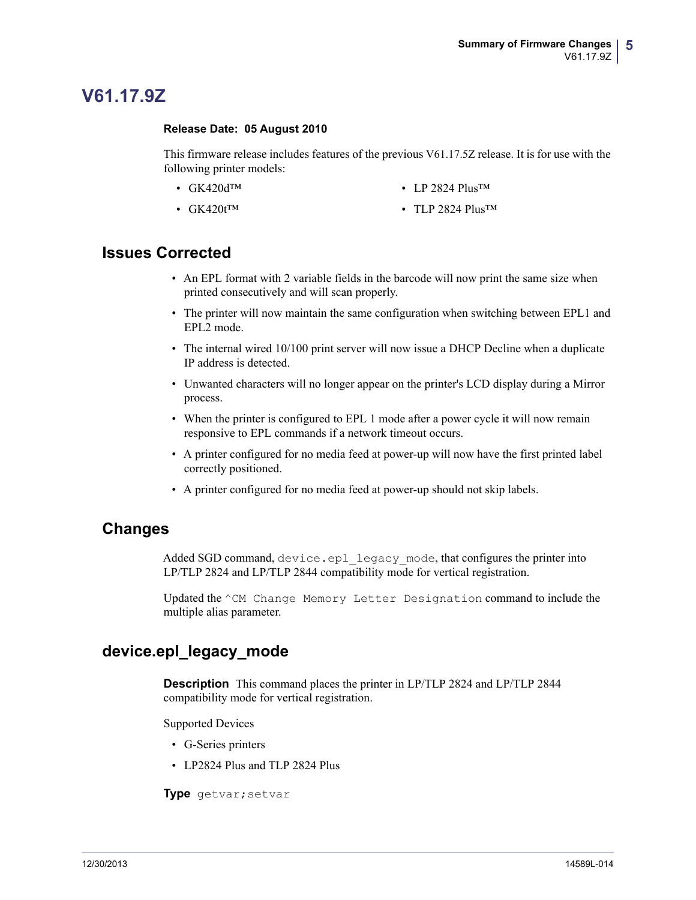## <span id="page-4-0"></span>**V61.17.9Z**

#### <span id="page-4-1"></span>**Release Date: 05 August 2010**

This firmware release includes features of the previous V61.17.5Z release. It is for use with the following printer models:

- GK420dTM
- LP 2824 Plus<sup>TM</sup>

•  $GK420t^{TM}$ 

• TLP 2824 Plus<sup>TM</sup>

### **Issues Corrected**

- An EPL format with 2 variable fields in the barcode will now print the same size when printed consecutively and will scan properly.
- The printer will now maintain the same configuration when switching between EPL1 and EPL2 mode.
- The internal wired 10/100 print server will now issue a DHCP Decline when a duplicate IP address is detected.
- Unwanted characters will no longer appear on the printer's LCD display during a Mirror process.
- When the printer is configured to EPL 1 mode after a power cycle it will now remain responsive to EPL commands if a network timeout occurs.
- A printer configured for no media feed at power-up will now have the first printed label correctly positioned.
- A printer configured for no media feed at power-up should not skip labels.

#### **Changes**

Added SGD command, device.epl legacy mode, that configures the printer into LP/TLP 2824 and LP/TLP 2844 compatibility mode for vertical registration.

Updated the ^CM Change Memory Letter Designation command to include the multiple alias parameter.

### **device.epl\_legacy\_mode**

**Description** This command places the printer in LP/TLP 2824 and LP/TLP 2844 compatibility mode for vertical registration.

Supported Devices

- G-Series printers
- LP2824 Plus and TLP 2824 Plus

**Type** getvar;setvar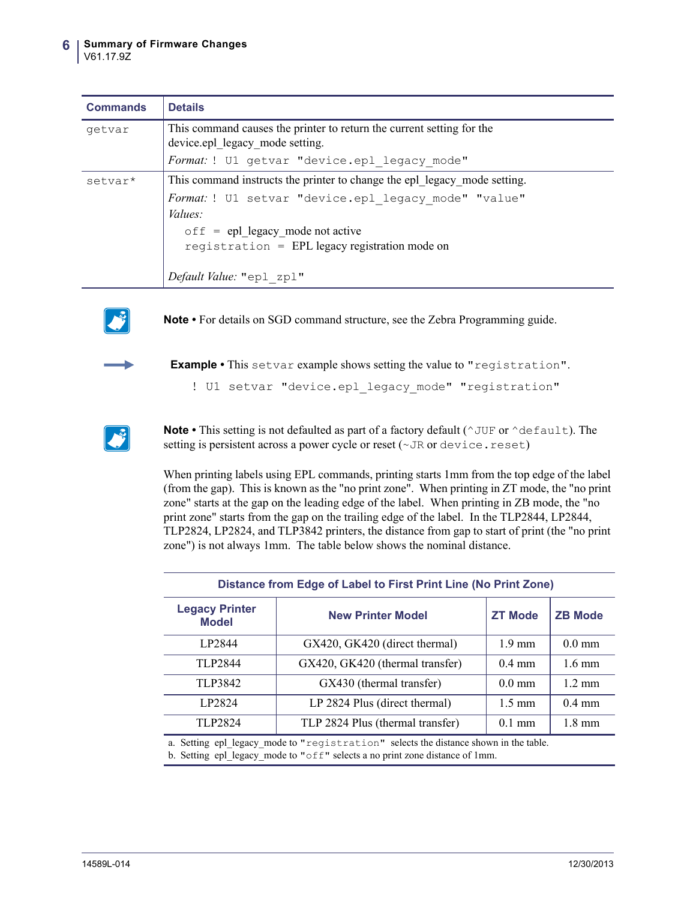| <b>Commands</b> | <b>Details</b>                                                                                           |  |  |
|-----------------|----------------------------------------------------------------------------------------------------------|--|--|
| getvar          | This command causes the printer to return the current setting for the<br>device.epl legacy mode setting. |  |  |
|                 | Format: ! U1 getvar "device.epl legacy mode"                                                             |  |  |
| setvar*         | This command instructs the printer to change the epl legacy mode setting.                                |  |  |
|                 | Format: ! U1 setvar "device.epl legacy mode" "value"                                                     |  |  |
|                 | Values:                                                                                                  |  |  |
|                 | $\circ$ f f = epl legacy mode not active                                                                 |  |  |
|                 | reqistration = $EPL$ legacy registration mode on                                                         |  |  |
|                 |                                                                                                          |  |  |
|                 | Default Value: "epl zpl"                                                                                 |  |  |



**Note •** For details on SGD command structure, see the Zebra Programming guide.



**Example •** This setvar example shows setting the value to "registration".

! U1 setvar "device.epl legacy mode" "registration"



**Note** • This setting is not defaulted as part of a factory default ( $\gamma$ UF or  $\gamma$ default). The setting is persistent across a power cycle or reset ( $\sim$  JR or device.reset)

When printing labels using EPL commands, printing starts 1mm from the top edge of the label (from the gap). This is known as the "no print zone". When printing in ZT mode, the "no print zone" starts at the gap on the leading edge of the label. When printing in ZB mode, the "no print zone" starts from the gap on the trailing edge of the label. In the TLP2844, LP2844, TLP2824, LP2824, and TLP3842 printers, the distance from gap to start of print (the "no print zone") is not always 1mm. The table below shows the nominal distance.

| Distance from Edge of Label to First Print Line (No Print Zone) |                                  |                  |                  |  |
|-----------------------------------------------------------------|----------------------------------|------------------|------------------|--|
| <b>Legacy Printer</b><br><b>Model</b>                           | <b>New Printer Model</b>         | <b>ZT Mode</b>   | <b>ZB Mode</b>   |  |
| LP2844                                                          | GX420, GK420 (direct thermal)    | $1.9 \text{ mm}$ | $0.0 \text{ mm}$ |  |
| TLP2844                                                         | GX420, GK420 (thermal transfer)  | $0.4$ mm         | $1.6 \text{ mm}$ |  |
| TLP3842                                                         | GX430 (thermal transfer)         | $0.0 \text{ mm}$ | $1.2 \text{ mm}$ |  |
| LP2824                                                          | LP 2824 Plus (direct thermal)    | $1.5 \text{ mm}$ | $0.4$ mm         |  |
| TLP2824                                                         | TLP 2824 Plus (thermal transfer) | $0.1$ mm         | $1.8 \text{ mm}$ |  |
|                                                                 |                                  |                  |                  |  |

a. Setting epl\_legacy\_mode to "registration" selects the distance shown in the table. b. Setting epl\_legacy\_mode to "off" selects a no print zone distance of 1mm.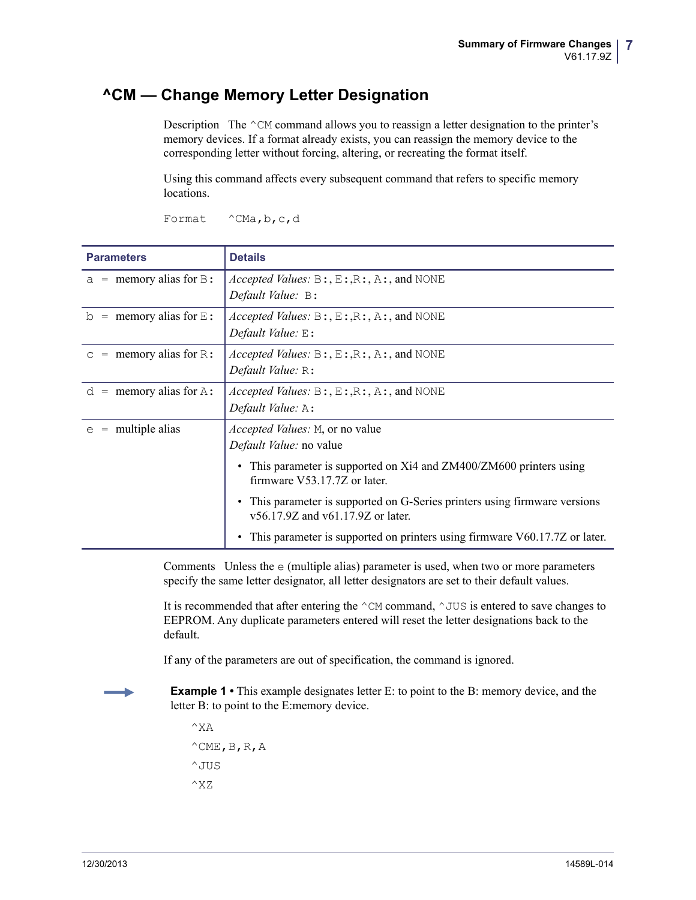### **^CM — Change Memory Letter Designation**

Description The  $\textdegree$ CM command allows you to reassign a letter designation to the printer's memory devices. If a format already exists, you can reassign the memory device to the corresponding letter without forcing, altering, or recreating the format itself.

Using this command affects every subsequent command that refers to specific memory locations.

| <b>Parameters</b>          | <b>Details</b>                                                                                                      |
|----------------------------|---------------------------------------------------------------------------------------------------------------------|
| $a =$ memory alias for B:  | <i>Accepted Values:</i> $B: E: R: A:$ , $A:$ , and NONE<br>Default Value: B:                                        |
| $=$ memory alias for $E$ : | <i>Accepted Values:</i> $B: E: R: A:$ , $A:$ , and NONE                                                             |
| b                          | Default Value: $E$ :                                                                                                |
| $=$ memory alias for R:    | <i>Accepted Values:</i> $B: E: R: A:$ , And NONE                                                                    |
| $\mathbb{C}$               | Default Value: R:                                                                                                   |
| $=$ memory alias for A:    | <i>Accepted Values:</i> $B: E: R: A:$ , $A:$ , and NONE                                                             |
| d                          | Default Value: A:                                                                                                   |
| multiple alias             | <i>Accepted Values:</i> M, or no value                                                                              |
| $=$                        | Default Value: no value                                                                                             |
| e                          | This parameter is supported on Xi4 and ZM400/ZM600 printers using                                                   |
|                            | firmware V53.17.7Z or later.<br>This parameter is supported on G-Series printers using firmware versions            |
|                            | $v56.17.9Z$ and $v61.17.9Z$ or later.<br>This parameter is supported on printers using firmware V60.17.7Z or later. |

Format ^CMa, b, c, d

Comments Unless the e (multiple alias) parameter is used, when two or more parameters specify the same letter designator, all letter designators are set to their default values.

It is recommended that after entering the  $\sim$ CM command,  $\sim$ JUS is entered to save changes to EEPROM. Any duplicate parameters entered will reset the letter designations back to the default.

If any of the parameters are out of specification, the command is ignored.

**Example 1** • This example designates letter E: to point to the B: memory device, and the letter B: to point to the E:memory device.

 $^{\wedge}X$ A  $^{\wedge}$ CME, B, R, A  $^{\wedge}$  JUS  $^{\wedge}$ XZ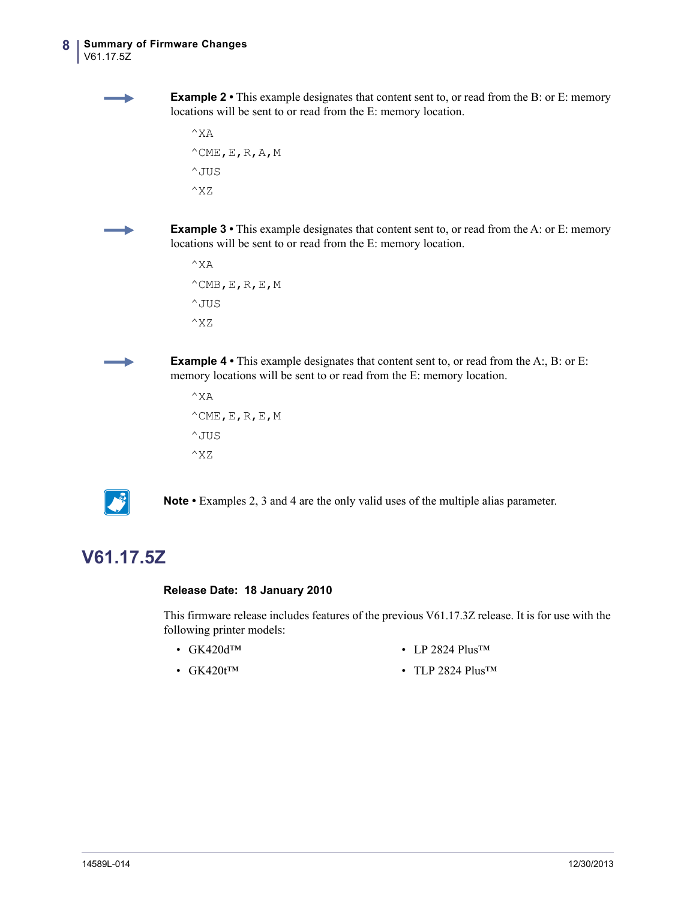**Example 2** • This example designates that content sent to, or read from the B: or E: memory locations will be sent to or read from the E: memory location.

```
^{\wedge}XA
^{\wedge}CME, E, R, A, M
^JUS
^XZ
```
**Example 3** • This example designates that content sent to, or read from the A: or E: memory locations will be sent to or read from the E: memory location.

```
^{\wedge}XA
^{\wedge}CMB, E, R, E, M
^JUS
^XZ
```
**Example 4** • This example designates that content sent to, or read from the A:, B: or E: memory locations will be sent to or read from the E: memory location.

```
^{\wedge}XA
^{\wedge}CME, E, R, E, M
^{\wedge} JUS
^XZ
```


**Note •** Examples 2, 3 and 4 are the only valid uses of the multiple alias parameter.

## <span id="page-7-0"></span>**V61.17.5Z**

#### <span id="page-7-1"></span>**Release Date: 18 January 2010**

This firmware release includes features of the previous V61.17.3Z release. It is for use with the following printer models:

• GK420d™

• LP 2824 Plus™

• GK420t<sup>™</sup>

• TLP 2824 Plus<sup>TM</sup>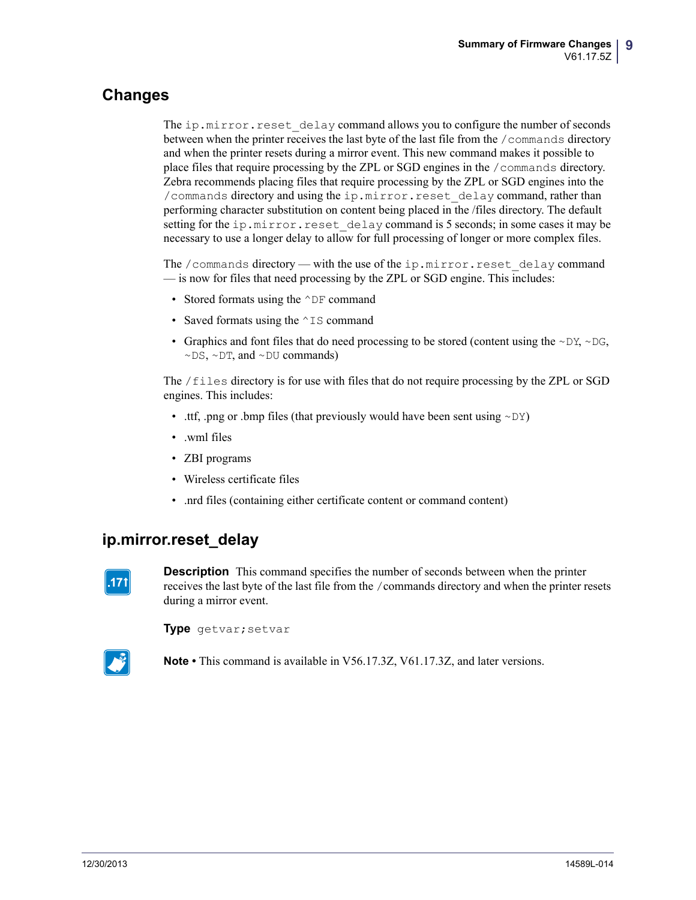### **Changes**

The ip.mirror.reset delay command allows you to configure the number of seconds between when the printer receives the last byte of the last file from the /commands directory and when the printer resets during a mirror event. This new command makes it possible to place files that require processing by the ZPL or SGD engines in the /commands directory. Zebra recommends placing files that require processing by the ZPL or SGD engines into the /commands directory and using the ip.mirror.reset\_delay command, rather than performing character substitution on content being placed in the /files directory. The default setting for the ip.mirror.reset delay command is 5 seconds; in some cases it may be necessary to use a longer delay to allow for full processing of longer or more complex files.

The /commands directory — with the use of the ip.mirror.reset delay command — is now for files that need processing by the ZPL or SGD engine. This includes:

- Stored formats using the  $\wedge$ DF command
- Saved formats using the  $\sim$  IS command
- Graphics and font files that do need processing to be stored (content using the  $\sim$ DY,  $\sim$ DG,  $\sim$ DS,  $\sim$ DT, and  $\sim$ DU commands)

The /files directory is for use with files that do not require processing by the ZPL or SGD engines. This includes:

- .ttf, .png or .bmp files (that previously would have been sent using  $\sim DY$ )
- .wml files
- ZBI programs
- Wireless certificate files
- .nrd files (containing either certificate content or command content)

### **ip.mirror.reset\_delay**



**Description** This command specifies the number of seconds between when the printer receives the last byte of the last file from the /commands directory and when the printer resets during a mirror event.

**Type** getvar;setvar



**Note •** This command is available in V56.17.3Z, V61.17.3Z, and later versions.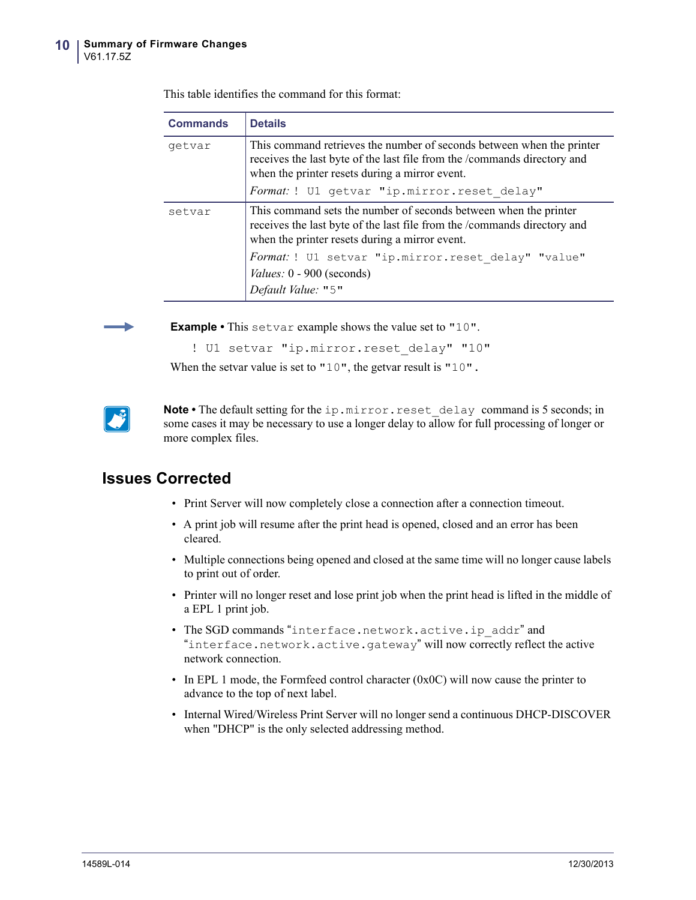| <b>Details</b>                                                                                                                                                                                      |  |  |  |
|-----------------------------------------------------------------------------------------------------------------------------------------------------------------------------------------------------|--|--|--|
| This command retrieves the number of seconds between when the printer<br>receives the last byte of the last file from the /commands directory and<br>when the printer resets during a mirror event. |  |  |  |
| Format: ! U1 getvar "ip.mirror.reset delay"                                                                                                                                                         |  |  |  |
| This command sets the number of seconds between when the printer<br>receives the last byte of the last file from the /commands directory and<br>when the printer resets during a mirror event.      |  |  |  |
| Format: ! U1 setvar "ip.mirror.reset delay" "value"<br>Values: 0 - 900 (seconds)<br>Default Value: "5"                                                                                              |  |  |  |
|                                                                                                                                                                                                     |  |  |  |

This table identifies the command for this format:



**Example •** This setvar example shows the value set to "10".

When the setvar value is set to "10", the getvar result is "10".

! U1 setvar "ip.mirror.reset delay" "10"

Note • The default setting for the ip.mirror.reset delay command is 5 seconds; in some cases it may be necessary to use a longer delay to allow for full processing of longer or more complex files.

- Print Server will now completely close a connection after a connection timeout.
- A print job will resume after the print head is opened, closed and an error has been cleared.
- Multiple connections being opened and closed at the same time will no longer cause labels to print out of order.
- Printer will no longer reset and lose print job when the print head is lifted in the middle of a EPL 1 print job.
- The SGD commands "interface.network.active.ip\_addr" and "interface.network.active.gateway" will now correctly reflect the active network connection.
- In EPL 1 mode, the Formfeed control character  $(0x0C)$  will now cause the printer to advance to the top of next label.
- Internal Wired/Wireless Print Server will no longer send a continuous DHCP-DISCOVER when "DHCP" is the only selected addressing method.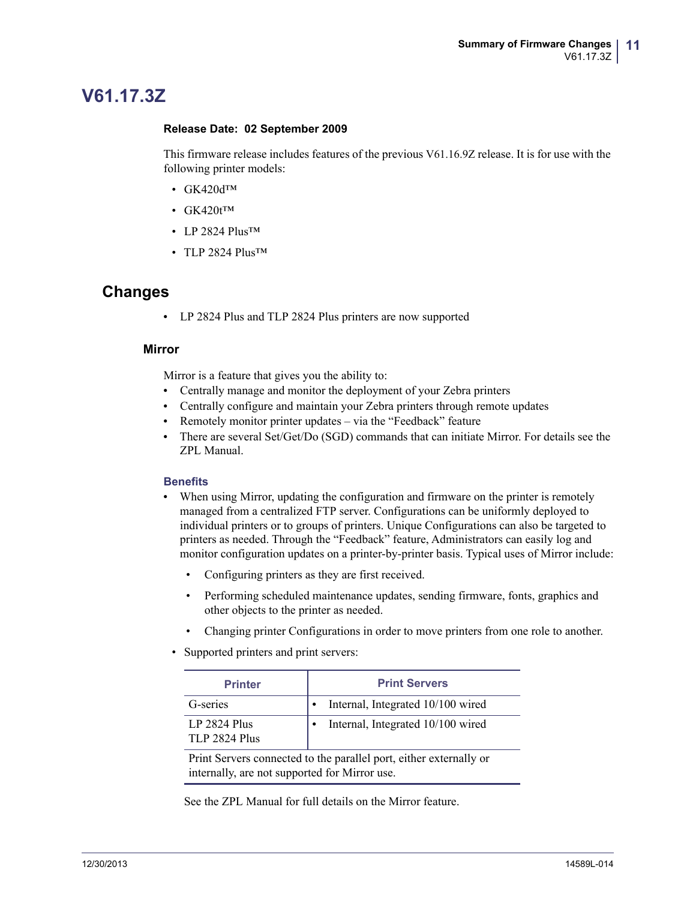## <span id="page-10-0"></span>**V61.17.3Z**

#### <span id="page-10-1"></span>**Release Date: 02 September 2009**

This firmware release includes features of the previous V61.16.9Z release. It is for use with the following printer models:

- GK420dTM
- $GK420t^{TM}$
- LP 2824 Plus<sup>TM</sup>
- TLP 2824 Plus<sup>TM</sup>

#### **Changes**

**•** LP 2824 Plus and TLP 2824 Plus printers are now supported

#### **Mirror**

Mirror is a feature that gives you the ability to:

- **•** Centrally manage and monitor the deployment of your Zebra printers
- **•** Centrally configure and maintain your Zebra printers through remote updates
- Remotely monitor printer updates via the "Feedback" feature
- **•** There are several Set/Get/Do (SGD) commands that can initiate Mirror. For details see the ZPL Manual.

#### **Benefits**

- When using Mirror, updating the configuration and firmware on the printer is remotely managed from a centralized FTP server. Configurations can be uniformly deployed to individual printers or to groups of printers. Unique Configurations can also be targeted to printers as needed. Through the "Feedback" feature, Administrators can easily log and monitor configuration updates on a printer-by-printer basis. Typical uses of Mirror include:
	- Configuring printers as they are first received.
	- Performing scheduled maintenance updates, sending firmware, fonts, graphics and other objects to the printer as needed.
	- Changing printer Configurations in order to move printers from one role to another.
	- Supported printers and print servers:

| <b>Printer</b>                              | <b>Print Servers</b>              |
|---------------------------------------------|-----------------------------------|
| G-series                                    | Internal, Integrated 10/100 wired |
| <b>LP 2824 Plus</b><br><b>TLP 2824 Plus</b> | Internal, Integrated 10/100 wired |
|                                             |                                   |

Print Servers connected to the parallel port, either externally or internally, are not supported for Mirror use.

See the ZPL Manual for full details on the Mirror feature.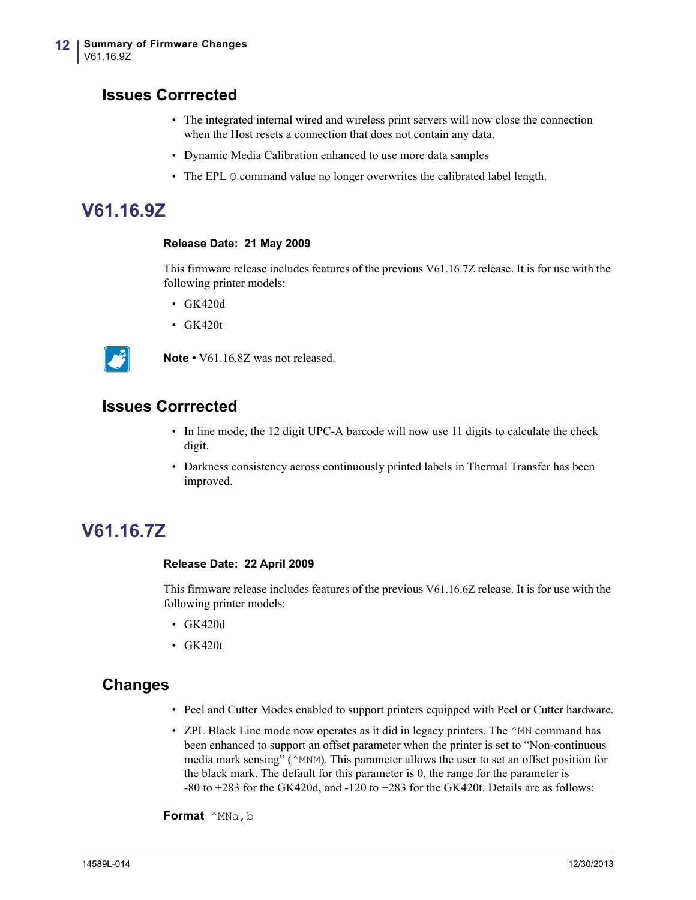### **Issues Corrrected**

- The integrated internal wired and wireless print servers will now close the connection when the Host resets a connection that does not contain any data.
- Dynamic Media Calibration enhanced to use more data samples
- The EPL Q command value no longer overwrites the calibrated label length.

## <span id="page-11-0"></span>**V61.16.9Z**

#### <span id="page-11-1"></span>**Release Date: 21 May 2009**

This firmware release includes features of the previous V61.16.7Z release. It is for use with the following printer models:

- GK420d
- GK420t



**Note •** V61.16.8Z was not released.

### **Issues Corrrected**

- In line mode, the 12 digit UPC-A barcode will now use 11 digits to calculate the check digit.
- Darkness consistency across continuously printed labels in Thermal Transfer has been improved.

## <span id="page-11-2"></span>**V61.16.7Z**

#### <span id="page-11-3"></span>**Release Date: 22 April 2009**

This firmware release includes features of the previous V61.16.6Z release. It is for use with the following printer models:

- GK420d
- GK420t

#### **Changes**

- Peel and Cutter Modes enabled to support printers equipped with Peel or Cutter hardware.
- ZPL Black Line mode now operates as it did in legacy printers. The  $\land$ MN command has been enhanced to support an offset parameter when the printer is set to "Non-continuous media mark sensing" ( $\land$ MNM). This parameter allows the user to set an offset position for the black mark. The default for this parameter is 0, the range for the parameter is -80 to +283 for the GK420d, and -120 to +283 for the GK420t. Details are as follows:

**Format**  $^{\wedge}$ MNa, b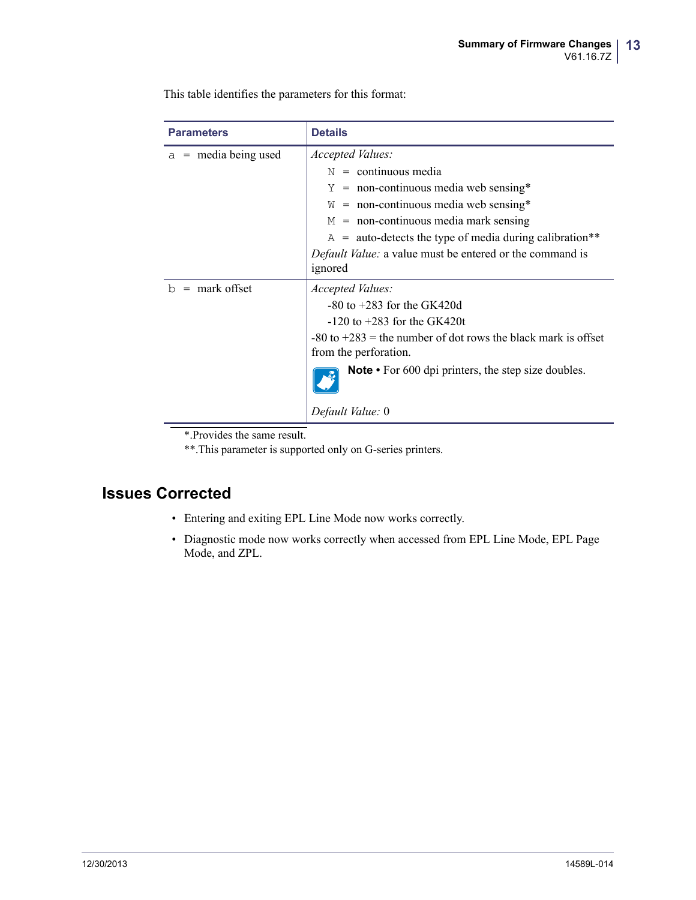This table identifies the parameters for this format:

| <b>Parameters</b>      | <b>Details</b>                                                    |  |
|------------------------|-------------------------------------------------------------------|--|
| $a =$ media being used | Accepted Values:                                                  |  |
|                        | $N =$ continuous media                                            |  |
|                        | $Y = \text{non-continuous media web sensing*}$                    |  |
|                        | $W =$ non-continuous media web sensing*                           |  |
|                        | $M =$ non-continuous media mark sensing                           |  |
|                        | $A =$ auto-detects the type of media during calibration**         |  |
|                        | <i>Default Value:</i> a value must be entered or the command is   |  |
|                        | ignored                                                           |  |
| $=$ mark offset<br>b   | Accepted Values:                                                  |  |
|                        | $-80$ to $+283$ for the GK420d                                    |  |
|                        | $-120$ to $+283$ for the GK420t                                   |  |
|                        | $-80$ to $+283$ = the number of dot rows the black mark is offset |  |
|                        | from the perforation.                                             |  |
|                        | <b>Note</b> • For 600 dpi printers, the step size doubles.        |  |
|                        | Default Value: 0                                                  |  |

\*.Provides the same result.

\*\*.This parameter is supported only on G-series printers.

- Entering and exiting EPL Line Mode now works correctly.
- Diagnostic mode now works correctly when accessed from EPL Line Mode, EPL Page Mode, and ZPL.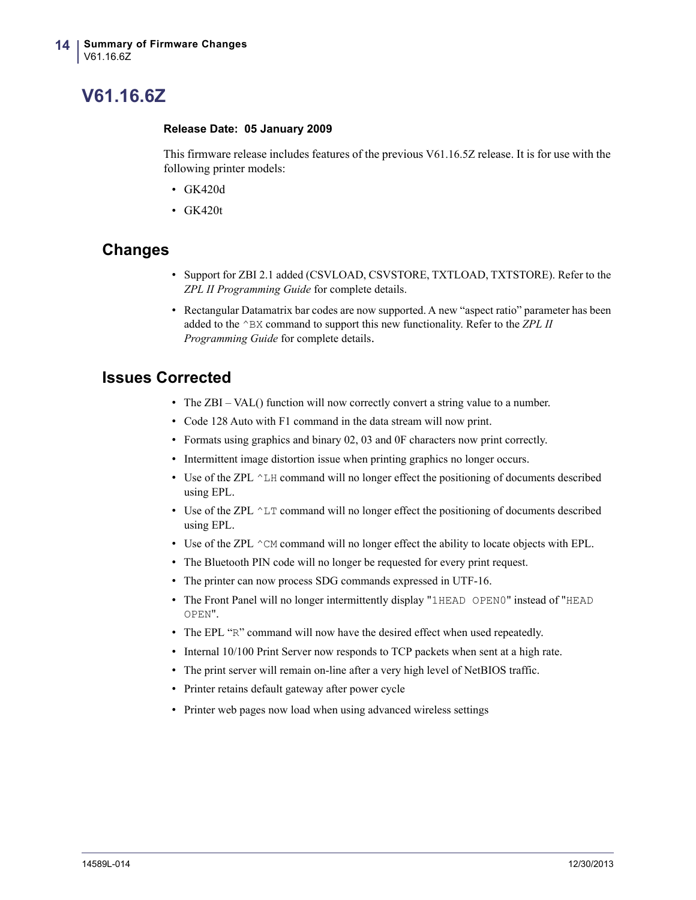## <span id="page-13-0"></span>**V61.16.6Z**

#### <span id="page-13-1"></span>**Release Date: 05 January 2009**

This firmware release includes features of the previous V61.16.5Z release. It is for use with the following printer models:

- GK420d
- GK420t

### **Changes**

- Support for ZBI 2.1 added (CSVLOAD, CSVSTORE, TXTLOAD, TXTSTORE). Refer to the *ZPL II Programming Guide* for complete details.
- Rectangular Datamatrix bar codes are now supported. A new "aspect ratio" parameter has been added to the ^BX command to support this new functionality. Refer to the *ZPL II Programming Guide* for complete details.

- The ZBI VAL() function will now correctly convert a string value to a number.
- Code 128 Auto with F1 command in the data stream will now print.
- Formats using graphics and binary 02, 03 and 0F characters now print correctly.
- Intermittent image distortion issue when printing graphics no longer occurs.
- Use of the ZPL  $^{\wedge}$  LH command will no longer effect the positioning of documents described using EPL.
- Use of the ZPL  $^{\wedge}$  LT command will no longer effect the positioning of documents described using EPL.
- Use of the ZPL  $\hat{}$  CM command will no longer effect the ability to locate objects with EPL.
- The Bluetooth PIN code will no longer be requested for every print request.
- The printer can now process SDG commands expressed in UTF-16.
- The Front Panel will no longer intermittently display "1HEAD OPEN0" instead of "HEAD OPEN".
- The EPL "R" command will now have the desired effect when used repeatedly.
- Internal 10/100 Print Server now responds to TCP packets when sent at a high rate.
- The print server will remain on-line after a very high level of NetBIOS traffic.
- Printer retains default gateway after power cycle
- Printer web pages now load when using advanced wireless settings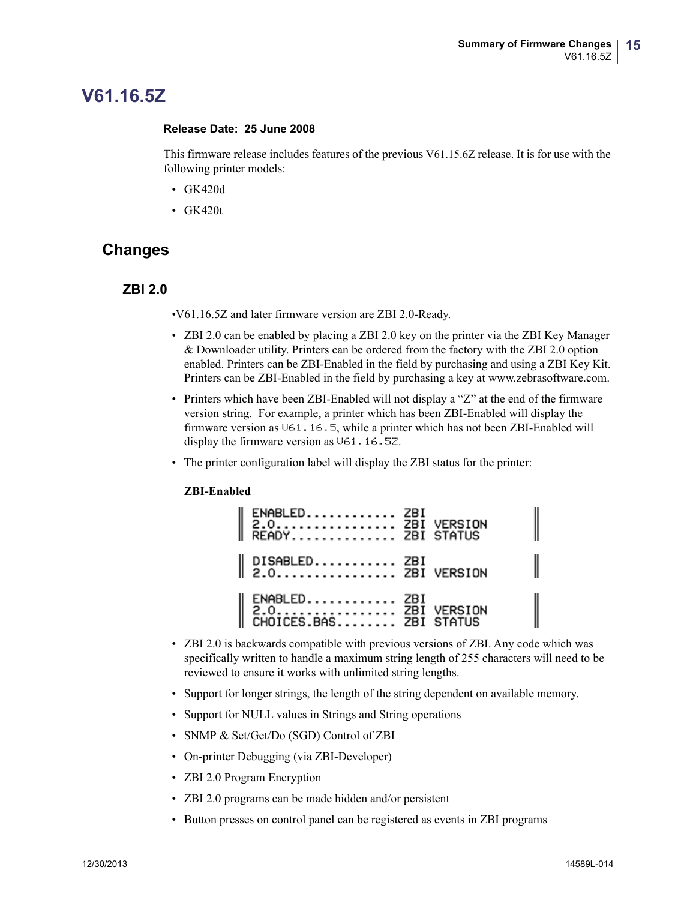## <span id="page-14-0"></span>**V61.16.5Z**

#### <span id="page-14-1"></span>**Release Date: 25 June 2008**

This firmware release includes features of the previous V61.15.6Z release. It is for use with the following printer models:

- GK420d
- GK420t

### **Changes**

#### **ZBI 2.0**

•V61.16.5Z and later firmware version are ZBI 2.0-Ready.

- ZBI 2.0 can be enabled by placing a ZBI 2.0 key on the printer via the ZBI Key Manager & Downloader utility. Printers can be ordered from the factory with the ZBI 2.0 option enabled. Printers can be ZBI-Enabled in the field by purchasing and using a ZBI Key Kit. Printers can be ZBI-Enabled in the field by purchasing a key at www.zebrasoftware.com.
- Printers which have been ZBI-Enabled will not display a "Z" at the end of the firmware version string. For example, a printer which has been ZBI-Enabled will display the firmware version as V61.16.5, while a printer which has not been ZBI-Enabled will display the firmware version as V61.16.5Z.
- The printer configuration label will display the ZBI status for the printer:

#### **ZBI-Enabled**

| ENABLED ZBI<br>   2.0 ZBI VERSION<br>   READY ZBI STATUS     |  |
|--------------------------------------------------------------|--|
| $\parallel$ DISABLED ZBI<br>$\parallel$ 2.0 ZBI VERSION      |  |
| ENABLED ZBI<br>  2.0 ZBI VERSION<br>  CHOICES.BAS ZBI STATUS |  |

- ZBI 2.0 is backwards compatible with previous versions of ZBI. Any code which was specifically written to handle a maximum string length of 255 characters will need to be reviewed to ensure it works with unlimited string lengths.
- Support for longer strings, the length of the string dependent on available memory.
- Support for NULL values in Strings and String operations
- SNMP & Set/Get/Do (SGD) Control of ZBI
- On-printer Debugging (via ZBI-Developer)
- ZBI 2.0 Program Encryption
- ZBI 2.0 programs can be made hidden and/or persistent
- Button presses on control panel can be registered as events in ZBI programs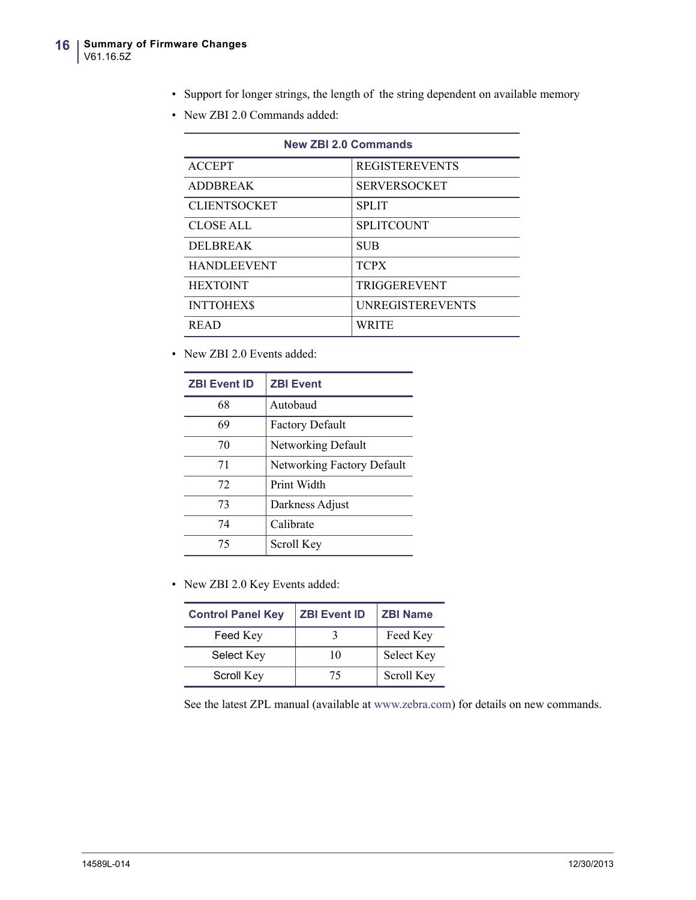- Support for longer strings, the length of the string dependent on available memory
- New ZBI 2.0 Commands added:

| <b>New ZBI 2.0 Commands</b> |                         |  |
|-----------------------------|-------------------------|--|
| <b>ACCEPT</b>               | <b>REGISTEREVENTS</b>   |  |
| <b>ADDBREAK</b>             | <b>SERVERSOCKET</b>     |  |
| <b>CLIENTSOCKET</b>         | <b>SPLIT</b>            |  |
| <b>CLOSE ALL</b>            | <b>SPLITCOUNT</b>       |  |
| <b>DELBREAK</b>             | <b>SUB</b>              |  |
| <b>HANDLEEVENT</b>          | <b>TCPX</b>             |  |
| <b>HEXTOINT</b>             | <b>TRIGGEREVENT</b>     |  |
| <b>INTTOHEXS</b>            | <b>UNREGISTEREVENTS</b> |  |
| <b>READ</b>                 | <b>WRITE</b>            |  |

• New ZBI 2.0 Events added:

| <b>ZBI Event ID</b> | <b>ZBI Event</b>           |
|---------------------|----------------------------|
| 68                  | Autobaud                   |
| 69                  | <b>Factory Default</b>     |
| 70                  | Networking Default         |
| 71                  | Networking Factory Default |
| 72                  | Print Width                |
| 73                  | Darkness Adjust            |
| 74                  | Calibrate                  |
| 75                  | Scroll Key                 |

• New ZBI 2.0 Key Events added:

| <b>Control Panel Key</b> | <b>ZBI Event ID</b> | <b>ZBI Name</b> |
|--------------------------|---------------------|-----------------|
| Feed Key                 |                     | Feed Key        |
| Select Key               | 10                  | Select Key      |
| Scroll Key               | 75                  | Scroll Key      |

See the latest ZPL manual (available at www.zebra.com) for details on new commands.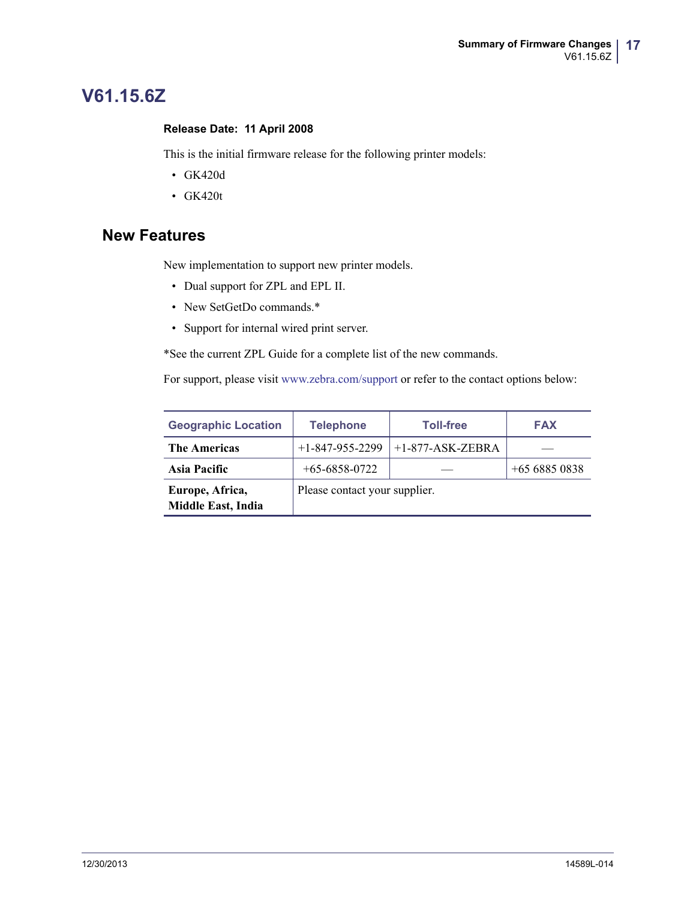## <span id="page-16-0"></span>**V61.15.6Z**

#### <span id="page-16-1"></span>**Release Date: 11 April 2008**

This is the initial firmware release for the following printer models:

- GK420d
- GK420t

### **New Features**

[New implementation to support new printer models.](http://www.zebra.com/support) 

- Dual support for ZPL and EPL II.
- New SetGetDo commands.\*
- Support for internal wired print server.

\*See the current ZPL Guide for a complete list of the new commands.

For support, please visit www.zebra.com/support or refer to the contact options below:

| <b>Geographic Location</b>                   | <b>Telephone</b>              | <b>Toll-free</b>   | <b>FAX</b>    |
|----------------------------------------------|-------------------------------|--------------------|---------------|
| <b>The Americas</b>                          | $+1 - 847 - 955 - 2299$       | $+1-877-ASK-ZEBRA$ |               |
| Asia Pacific                                 | $+65-6858-0722$               |                    | $+6568850838$ |
| Europe, Africa,<br><b>Middle East, India</b> | Please contact your supplier. |                    |               |